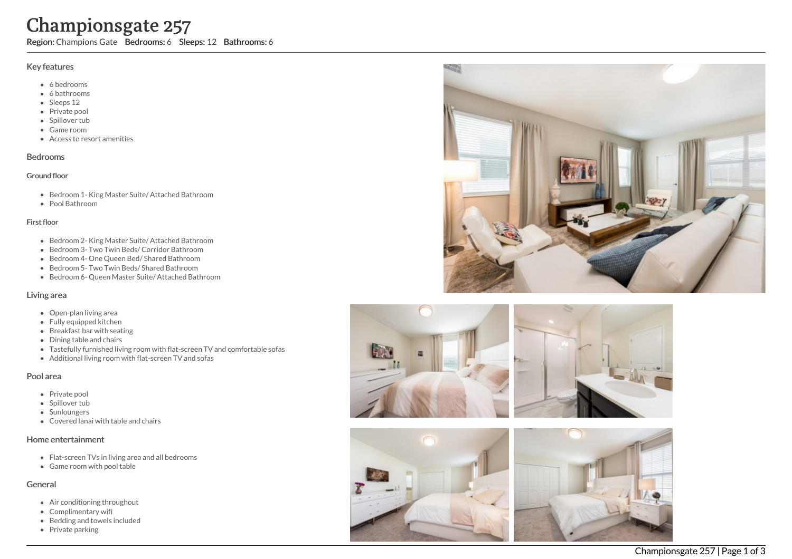# Championsgate 257

Region: Champions Gate Bedrooms: 6 Sleeps: 12 Bathrooms: 6

## Key features

- 6 b e d r o o m s
- 6 bathrooms
- Sleeps 12
- Private pool
- Spillover tub
- Game room
- Access to resort amenities

## **Bedrooms**

#### Ground floor

- Bedroom 1- King Master Suite/ Attached Bathroom
- Pool Bathroom

#### Fir s t flo o r

- Bedroom 2- King Master Suite/ Attached Bathroom
- Bedroom 3- Two Twin Beds/ Corridor Bathroom
- Bedroom 4- One Queen Bed/ Shared Bathroom
- Bedroom 5- Two Twin Beds/ Shared Bathroom
- Bedroom 6- Queen Master Suite/ Attached Bathroom

## Living area

- Open-plan living area
- Fully equipped kitchen
- Breakfast bar with seating
- Dining table and chairs
- Tastefully furnished living room with flat-screen TV and comfortable sofas
- Additional living room with flat-screen TV and sofas

## Pool area

- Private pool
- Spillover tub
- Sunloungers
- Covered lanai with table and chairs

## Home entertainment

- Flat-screen TVs in living area and all bedrooms
- Game room with pool table

# General

- Air conditioning throughout
- Complimentary wifi
- Bedding and towels in clu d e d
- Private parking







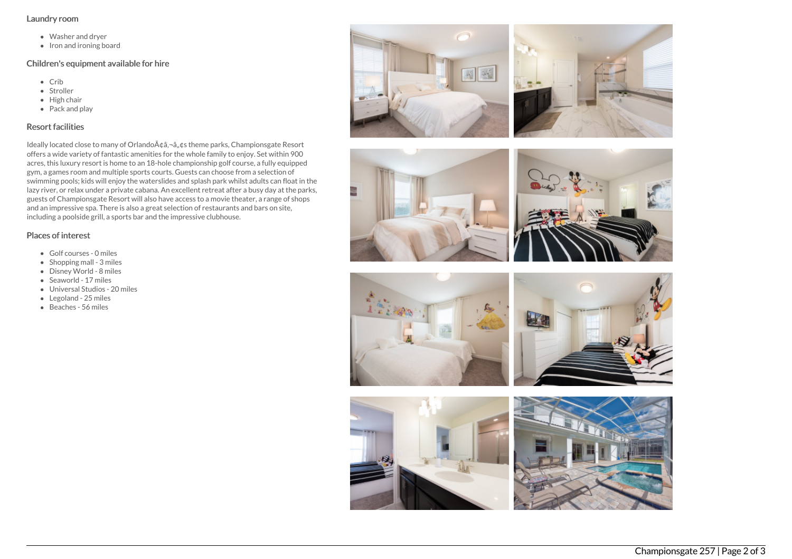#### Laundry room

- Washer and dryer
- Iron and ironing board

## Children's equipment available for hire

- Crib
- Stroller
- $\bullet$  High chair
- Pack and play

## Resort facilities

Ideally located close to many of Orlando A¢â,¬â"¢s theme parks, Championsgate Resort offers a wide variety of fantastic amenities for the whole family to enjoy. Set within 900 acres, this luxury resort is home to an 18-hole championship golf course, a fully equipped gym, a games room and multiple sports courts. Guests can choose from a selection of swimming pools; kids will enjoy the waterslides and splash park whilst adults can float in the lazy river, or relax under a private cabana. An excellent retreat after a busy day at the parks, guests of Championsgate Resort will also have access to a movie theater, a range of shops and an impressive spa. There is also a great selection of restaurants and bars on site, including a poolside grill, a sports bar and the impressive clubhouse.

## Places of interest

- Golf courses 0 miles
- $\bullet$  Shopping mall 3 miles
- Disney World 8 miles
- Seaworld 17 miles
- Universal Studios 20 miles
- Legoland 25 miles
- $\bullet$  Beaches 56 miles